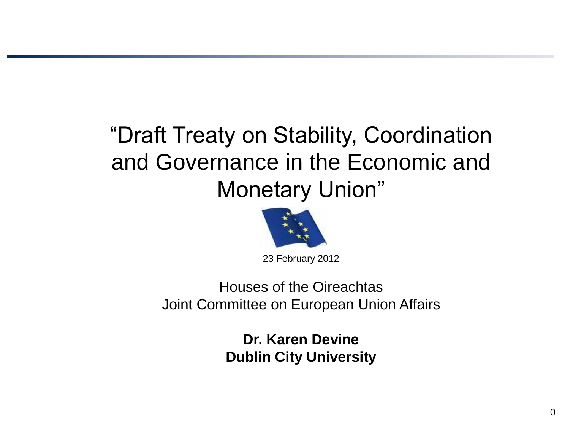# "Draft Treaty on Stability, Coordination and Governance in the Economic and Monetary Union"



23 February 2012

Houses of the Oireachtas Joint Committee on European Union Affairs

> **Dr. Karen Devine Dublin City University**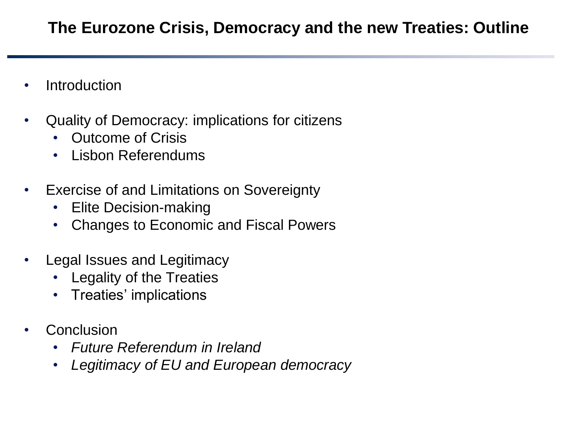### **The Eurozone Crisis, Democracy and the new Treaties: Outline**

- Introduction
- Quality of Democracy: implications for citizens
	- Outcome of Crisis
	- Lisbon Referendums
- Exercise of and Limitations on Sovereignty
	- Elite Decision-making
	- Changes to Economic and Fiscal Powers
- Legal Issues and Legitimacy
	- Legality of the Treaties
	- Treaties' implications
- **Conclusion** 
	- *Future Referendum in Ireland*
	- *Legitimacy of EU and European democracy*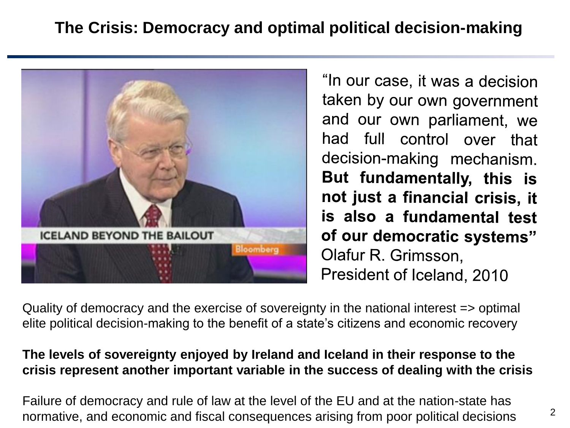## **The Crisis: Democracy and optimal political decision-making**



"In our case, it was a decision taken by our own government and our own parliament, we had full control over that decision-making mechanism. But fundamentally, this is not just a financial crisis, it is also a fundamental test of our democratic systems" Olafur R. Grimsson, President of Iceland, 2010

Quality of democracy and the exercise of sovereignty in the national interest => optimal elite political decision-making to the benefit of a state's citizens and economic recovery

#### **The levels of sovereignty enjoyed by Ireland and Iceland in their response to the crisis represent another important variable in the success of dealing with the crisis**

Failure of democracy and rule of law at the level of the EU and at the nation-state has normative, and economic and fiscal consequences arising from poor political decisions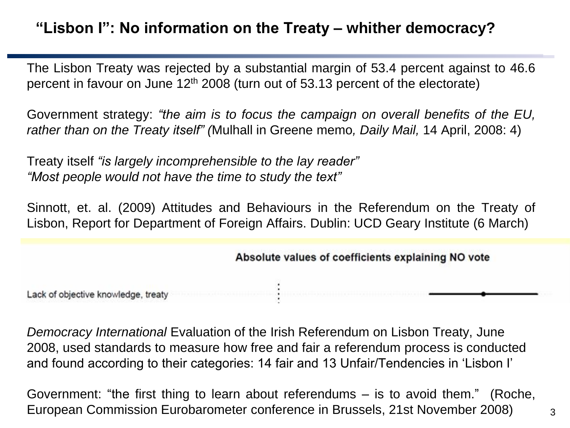### **"Lisbon I": No information on the Treaty – whither democracy?**

The Lisbon Treaty was rejected by a substantial margin of 53.4 percent against to 46.6 percent in favour on June  $12<sup>th</sup> 2008$  (turn out of 53.13 percent of the electorate)

Government strategy: *"the aim is to focus the campaign on overall benefits of the EU, rather than on the Treaty itself" (*Mulhall in Greene memo*, Daily Mail,* 14 April, 2008: 4)

Treaty itself *"is largely incomprehensible to the lay reader" "Most people would not have the time to study the text"*

Sinnott, et. al. (2009) Attitudes and Behaviours in the Referendum on the Treaty of Lisbon, Report for Department of Foreign Affairs. Dublin: UCD Geary Institute (6 March)

#### Absolute values of coefficients explaining NO vote

Lack of objective knowledge, treaty

*Democracy International* Evaluation of the Irish Referendum on Lisbon Treaty, June 2008, used standards to measure how free and fair a referendum process is conducted and found according to their categories: 14 fair and 13 Unfair/Tendencies in 'Lisbon I'

Government: "the first thing to learn about referendums – is to avoid them." (Roche, European Commission Eurobarometer conference in Brussels, 21st November 2008)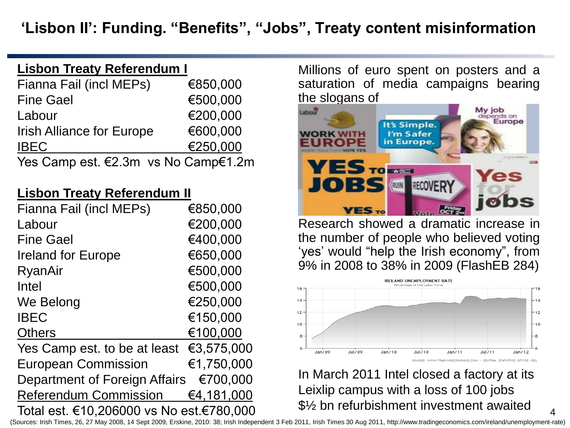#### **Lisbon Treaty Referendum I**

| Fianna Fail (incl MEPs)             | €850,000 |
|-------------------------------------|----------|
| <b>Fine Gael</b>                    | €500,000 |
| Labour                              | €200,000 |
| <b>Irish Alliance for Europe</b>    | €600,000 |
| <b>IBEC</b>                         | €250,000 |
| Yes Camp est. €2.3m vs No Camp€1.2m |          |

#### **Lisbon Treaty Referendum II**

| Fianna Fail (incl MEPs)                           | €850,000   |
|---------------------------------------------------|------------|
| Labour                                            | €200,000   |
| <b>Fine Gael</b>                                  | €400,000   |
| <b>Ireland for Europe</b>                         | €650,000   |
| RyanAir                                           | €500,000   |
| Intel                                             | €500,000   |
| We Belong                                         | €250,000   |
| <b>IBEC</b>                                       | €150,000   |
| <b>Others</b>                                     | €100,000   |
| Yes Camp est. to be at least $\epsilon$ 3,575,000 |            |
| <b>European Commission</b>                        | €1,750,000 |
| Department of Foreign Affairs                     | €700.000   |
| <b>Referendum Commission</b>                      | €4,181,000 |
| Total est. €10,206000 vs No est.€780,000          |            |

Millions of euro spent on posters and a saturation of media campaigns bearing the slogans of



Research showed a dramatic increase in the number of people who believed voting 'yes' would "help the Irish economy", from 9% in 2008 to 38% in 2009 (FlashEB 284)



In March 2011 Intel closed a factory at its Leixlip campus with a loss of 100 jobs \$½ bn refurbishment investment awaited

4 (Sources: Irish Times, 26, 27 May 2008, 14 Sept 2009, Erskine, 2010: 38; Irish Independent 3 Feb 2011, Irish Times 30 Aug 2011, http://www.tradingeconomics.com/ireland/unemployment-rate)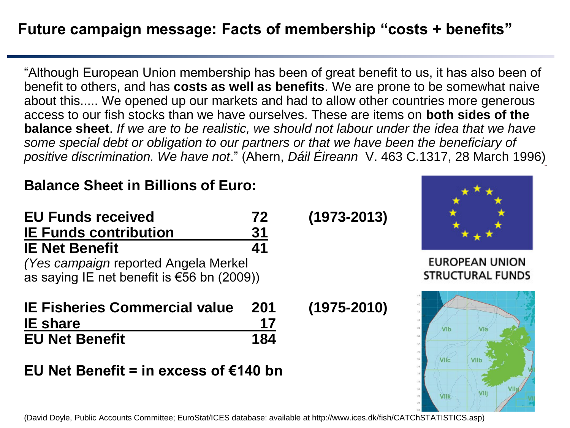### **Future campaign message: Facts of membership "costs + benefits"**

"Although European Union membership has been of great benefit to us, it has also been of benefit to others, and has **costs as well as benefits**. We are prone to be somewhat naive about this..... We opened up our markets and had to allow other countries more generous access to our fish stocks than we have ourselves. These are items on **both sides of the balance sheet**. *If we are to be realistic, we should not labour under the idea that we have some special debt or obligation to our partners or that we have been the beneficiary of positive discrimination. We have not*." (Ahern, *Dáil Éireann* V. 463 C.1317, 28 March 1996)

#### **Balance Sheet in Billions of Euro:**

| <b>EU Funds received</b><br><b>IE Funds contribution</b><br><b>IE Net Benefit</b> | 72<br>31<br>41 | $(1973 - 2013)$ |                                                                                              |           |
|-----------------------------------------------------------------------------------|----------------|-----------------|----------------------------------------------------------------------------------------------|-----------|
|                                                                                   |                |                 | (Yes campaign reported Angela Merkel<br>as saying IE net benefit is $\epsilon$ 56 bn (2009)) |           |
|                                                                                   |                |                 | <b>IE Fisheries Commercial value</b><br><b>IE</b> share                                      | 201<br>17 |
| <b>EU Net Benefit</b>                                                             | 184            |                 |                                                                                              |           |

**EU Net Benefit = in excess of €140 bn**

(David Doyle, Public Accounts Committee; EuroStat/ICES database: available at http://www.ices.dk/fish/CATChSTATISTICS.asp)



EUROPEAN UNION **STRUCTURAL FUNDS** 

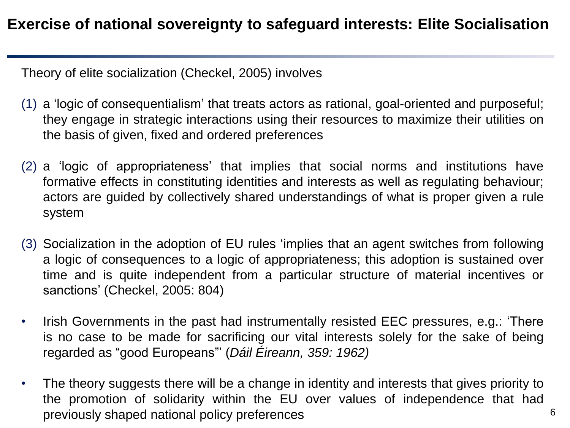Theory of elite socialization (Checkel, 2005) involves

- (1) a 'logic of consequentialism' that treats actors as rational, goal-oriented and purposeful; they engage in strategic interactions using their resources to maximize their utilities on the basis of given, fixed and ordered preferences
- (2) a 'logic of appropriateness' that implies that social norms and institutions have formative effects in constituting identities and interests as well as regulating behaviour; actors are guided by collectively shared understandings of what is proper given a rule system
- (3) Socialization in the adoption of EU rules 'implies that an agent switches from following a logic of consequences to a logic of appropriateness; this adoption is sustained over time and is quite independent from a particular structure of material incentives or sanctions' (Checkel, 2005: 804)
- Irish Governments in the past had instrumentally resisted EEC pressures, e.g.: 'There is no case to be made for sacrificing our vital interests solely for the sake of being regarded as "good Europeans"' (*Dáil Éireann, 359: 1962)*
- The theory suggests there will be a change in identity and interests that gives priority to the promotion of solidarity within the EU over values of independence that had previously shaped national policy preferences 6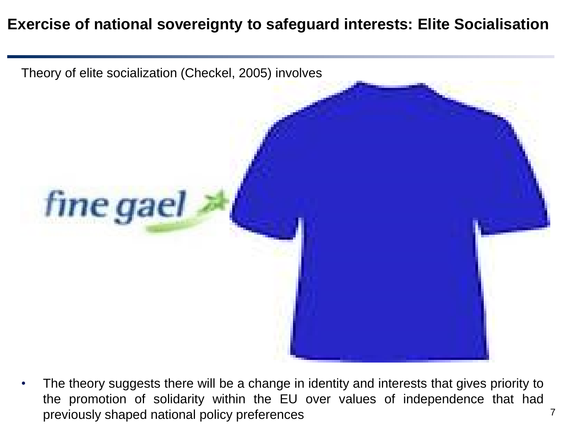#### **Exercise of national sovereignty to safeguard interests: Elite Socialisation**



The theory suggests there will be a change in identity and interests that gives priority to the promotion of solidarity within the EU over values of independence that had previously shaped national policy preferences 7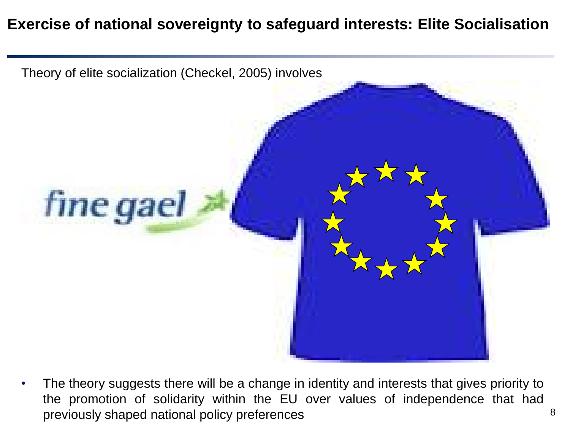#### **Exercise of national sovereignty to safeguard interests: Elite Socialisation**



The theory suggests there will be a change in identity and interests that gives priority to the promotion of solidarity within the EU over values of independence that had previously shaped national policy preferences and a state of  $\approx$  8  $\approx$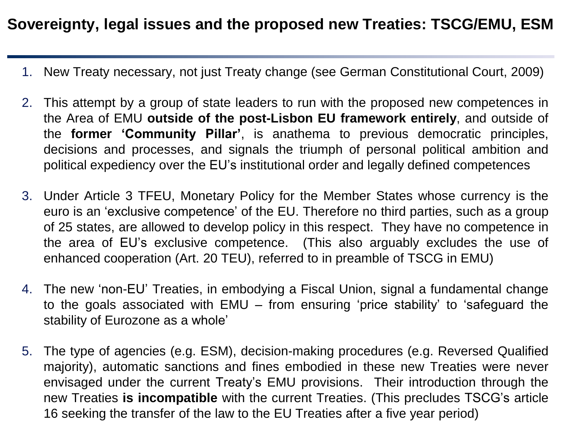#### **Sovereignty, legal issues and the proposed new Treaties: TSCG/EMU, ESM**

- 1. New Treaty necessary, not just Treaty change (see German Constitutional Court, 2009)
- 2. This attempt by a group of state leaders to run with the proposed new competences in the Area of EMU **outside of the post-Lisbon EU framework entirely**, and outside of the **former 'Community Pillar'**, is anathema to previous democratic principles, decisions and processes, and signals the triumph of personal political ambition and political expediency over the EU's institutional order and legally defined competences
- 3. Under Article 3 TFEU, Monetary Policy for the Member States whose currency is the euro is an 'exclusive competence' of the EU. Therefore no third parties, such as a group of 25 states, are allowed to develop policy in this respect. They have no competence in the area of EU's exclusive competence. (This also arguably excludes the use of enhanced cooperation (Art. 20 TEU), referred to in preamble of TSCG in EMU)
- 4. The new 'non-EU' Treaties, in embodying a Fiscal Union, signal a fundamental change to the goals associated with EMU – from ensuring 'price stability' to 'safeguard the stability of Eurozone as a whole'
- 5. The type of agencies (e.g. ESM), decision-making procedures (e.g. Reversed Qualified majority), automatic sanctions and fines embodied in these new Treaties were never envisaged under the current Treaty's EMU provisions. Their introduction through the new Treaties **is incompatible** with the current Treaties. (This precludes TSCG's article 16 seeking the transfer of the law to the EU Treaties after a five year period)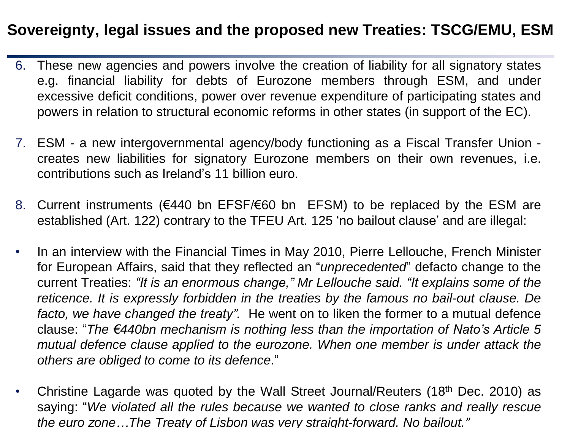#### **Sovereignty, legal issues and the proposed new Treaties: TSCG/EMU, ESM**

- 6. These new agencies and powers involve the creation of liability for all signatory states e.g. financial liability for debts of Eurozone members through ESM, and under excessive deficit conditions, power over revenue expenditure of participating states and powers in relation to structural economic reforms in other states (in support of the EC).
- 7. ESM a new intergovernmental agency/body functioning as a Fiscal Transfer Union creates new liabilities for signatory Eurozone members on their own revenues, i.e. contributions such as Ireland's 11 billion euro.
- 8. Current instruments (€440 bn EFSF/€60 bn EFSM) to be replaced by the ESM are established (Art. 122) contrary to the TFEU Art. 125 'no bailout clause' and are illegal:
- In an interview with the Financial Times in May 2010, Pierre Lellouche, French Minister for European Affairs, said that they reflected an "*unprecedented*" defacto change to the current Treaties: *"It is an enormous change," Mr Lellouche said. "It explains some of the reticence. It is expressly forbidden in the treaties by the famous no bail-out clause. De facto, we have changed the treaty".* He went on to liken the former to a mutual defence clause: "*The €440bn mechanism is nothing less than the importation of Nato's Article 5 mutual defence clause applied to the eurozone. When one member is under attack the others are obliged to come to its defence*."
- Christine Lagarde was quoted by the Wall Street Journal/Reuters (18<sup>th</sup> Dec. 2010) as saying: "*We violated all the rules because we wanted to close ranks and really rescue the euro zone…The Treaty of Lisbon was very straight-forward. No bailout."*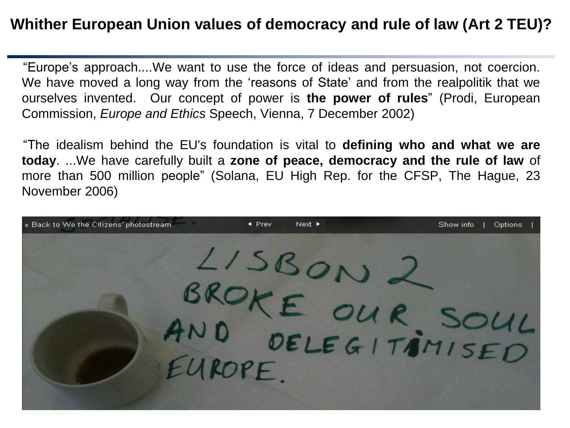#### **Whither European Union values of democracy and rule of law (Art 2 TEU)?**

"Europe's approach....We want to use the force of ideas and persuasion, not coercion. We have moved a long way from the 'reasons of State' and from the realpolitik that we ourselves invented. Our concept of power is **the power of rules**" (Prodi, European Commission, *Europe and Ethics* Speech, Vienna, 7 December 2002)

"The idealism behind the EU's foundation is vital to **defining who and what we are today**. ...We have carefully built a **zone of peace, democracy and the rule of law** of more than 500 million people" (Solana, EU High Rep. for the CFSP, The Hague, 23 November 2006)